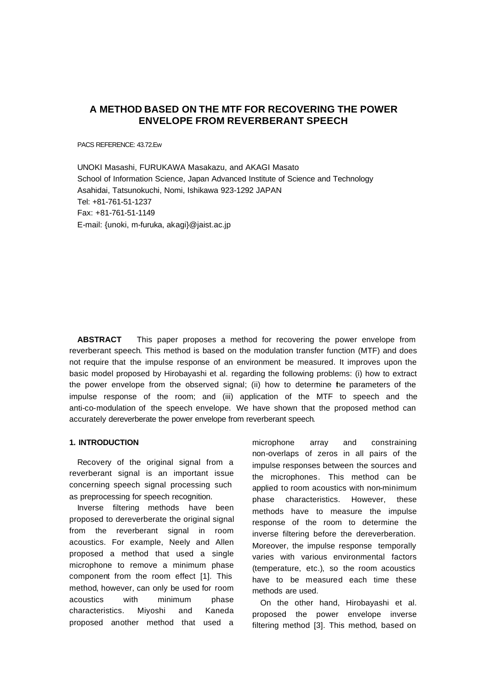# **A METHOD BASED ON THE MTF FOR RECOVERING THE POWER ENVELOPE FROM REVERBERANT SPEECH**

PACS REFERENCE: 43.72.Ew

UNOKI Masashi, FURUKAWA Masakazu, and AKAGI Masato School of Information Science, Japan Advanced Institute of Science and Technology Asahidai, Tatsunokuchi, Nomi, Ishikawa 923-1292 JAPAN Tel: +81-761-51-1237 Fax: +81-761-51-1149 E-mail: {unoki, m-furuka, akagi}@jaist.ac.jp

**ABSTRACT** This paper proposes a method for recovering the power envelope from reverberant speech. This method is based on the modulation transfer function (MTF) and does not require that the impulse response of an environment be measured. It improves upon the basic model proposed by Hirobayashi et al. regarding the following problems: (i) how to extract the power envelope from the observed signal; (ii) how to determine the parameters of the impulse response of the room; and (iii) application of the MTF to speech and the anti-co-modulation of the speech envelope. We have shown that the proposed method can accurately dereverberate the power envelope from reverberant speech.

# **1. INTRODUCTION**

Recovery of the original signal from a reverberant signal is an important issue concerning speech signal processing such as preprocessing for speech recognition.

Inverse filtering methods have been proposed to dereverberate the original signal from the reverberant signal in room acoustics. For example, Neely and Allen proposed a method that used a single microphone to remove a minimum phase component from the room effect [1]. This method, however, can only be used for room acoustics with minimum phase characteristics. Miyoshi and Kaneda proposed another method that used a microphone array and constraining non-overlaps of zeros in all pairs of the impulse responses between the sources and the microphones. This method can be applied to room acoustics with non-minimum phase characteristics. However, these methods have to measure the impulse response of the room to determine the inverse filtering before the dereverberation. Moreover, the impulse response temporally varies with various environmental factors (temperature, etc.), so the room acoustics have to be measured each time these methods are used.

On the other hand, Hirobayashi et al. proposed the power envelope inverse filtering method [3]. This method, based on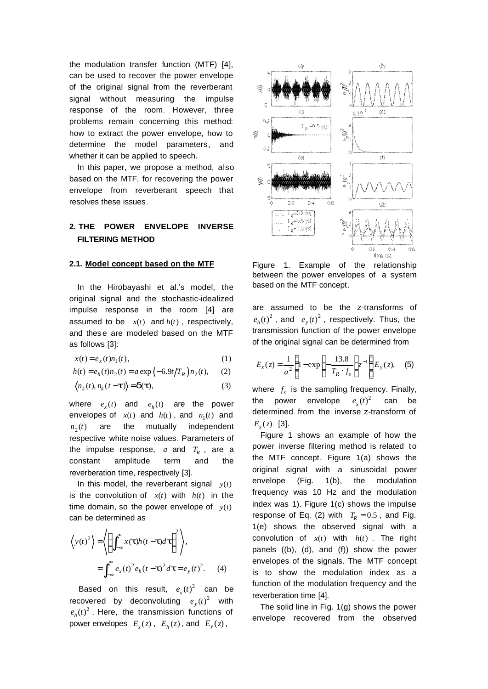the modulation transfer function (MTF) [4], can be used to recover the power envelope of the original signal from the reverberant signal without measuring the impulse response of the room. However, three problems remain concerning this method: how to extract the power envelope, how to determine the model parameters, and whether it can be applied to speech.

In this paper, we propose a method, also based on the MTF, for recovering the power envelope from reverberant speech that resolves these issues.

# **2. THE POWER ENVELOPE INVERSE FILTERING METHOD**

### **2.1. Model concept based on the MTF**

In the Hirobayashi et al.'s model, the original signal and the stochastic-idealized impulse response in the room [4] are assumed to be  $x(t)$  and  $h(t)$ , respectively, and thes e are modeled based on the MTF as follows [3]:

$$
x(t) = e_x(t)n_1(t),
$$
\n(1)

$$
h(t) = e_h(t)n_2(t) = a \exp(-6.9t/T_R)n_2(t), \quad (2)
$$

$$
\langle n_k(t), n_k(t-\mathbf{t})\rangle = \mathbf{d}(\mathbf{t}),
$$
\n(3)

where  $e_x(t)$  and  $e_h(t)$  are the power envelopes of  $x(t)$  and  $h(t)$ , and  $n_1(t)$  and  $n_2(t)$ are the mutually independent respective white noise values. Parameters of the impulse response,  $a$  and  $T_R$ , are a constant amplitude term and the reverberation time, respectively [3].

In this model, the reverberant signal  $y(t)$ is the convolution of  $x(t)$  with  $h(t)$  in the time domain, so the power envelope of  $y(t)$ can be determined as

$$
\left\langle y(t)^2 \right\rangle = \left\langle \left\{ \int_{-\infty}^{\infty} x(t)h(t-t)dt \right\}^2 \right\rangle,
$$
  
= 
$$
\int_{-\infty}^{\infty} e_x(t)^2 e_h(t-t)^2 dt = e_y(t)^2.
$$
 (4)

Based on this result,  $e_x(t)^2$  can be recovered by deconvoluting  $e_y(t)^2$  with  $e_h(t)^2$ . Here, the transmission functions of power envelopes  $E_x(z)$ ,  $E_h(z)$ , and  $E_y(z)$ ,



Figure 1. Example of the relationship between the power envelopes of a system based on the MTF concept.

are assumed to be the z-transforms of  $e_h(t)^2$ , and  $e_y(t)^2$ , respectively. Thus, the transmission function of the power envelope of the original signal can be determined from

$$
E_x(z) = \frac{1}{a^2} \left\{ 1 - \exp\left( -\frac{13.8}{T_R \cdot f_s} \right) z^{-1} \right\} E_y(z), \quad (5)
$$

where  $f_s$  is the sampling frequency. Finally, the power envelope  $e_x(t)^2$ can be determined from the inverse z-transform of  $E_x(z)$  [3].

Figure 1 shows an example of how the power inverse filtering method is related to the MTF concept. Figure 1(a) shows the original signal with a sinusoidal power envelope (Fig. 1(b), the modulation frequency was 10 Hz and the modulation index was 1). Figure 1(c) shows the impulse response of Eq. (2) with  $T_R = 0.5$ , and Fig. 1(e) shows the observed signal with a convolution of  $x(t)$  with  $h(t)$ . The right panels ((b), (d), and (f)) show the power envelopes of the signals. The MTF concept is to show the modulation index as a function of the modulation frequency and the reverberation time [4].

The solid line in Fig. 1(g) shows the power envelope recovered from the observed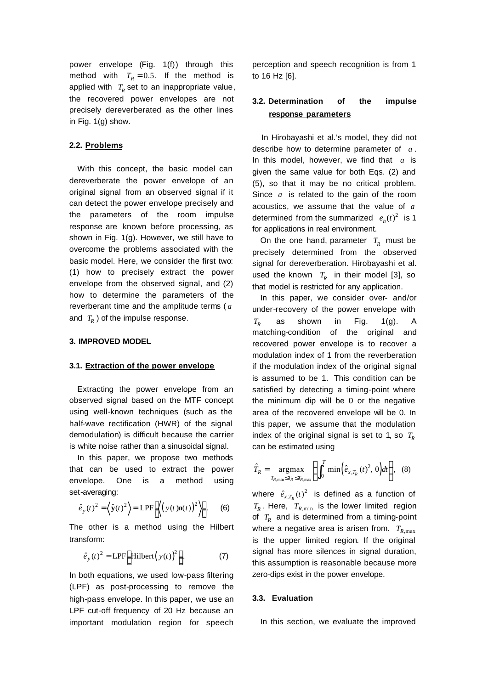power envelope (Fig. 1(f)) through this method with  $T_R = 0.5$ . If the method is applied with  $T_R$  set to an inappropriate value, the recovered power envelopes are not precisely dereverberated as the other lines in Fig. 1(g) show.

## **2.2. Problems**

With this concept, the basic model can dereverberate the power envelope of an original signal from an observed signal if it can detect the power envelope precisely and the parameters of the room impulse response are known before processing, as shown in Fig. 1(g). However, we still have to overcome the problems associated with the basic model. Here, we consider the first two: (1) how to precisely extract the power envelope from the observed signal, and (2) how to determine the parameters of the reverberant time and the amplitude terms ( *a* and  $T_R$ ) of the impulse response.

## **3. IMPROVED MODEL**

## **3.1. Extraction of the power envelope**

Extracting the power envelope from an observed signal based on the MTF concept using well-known techniques (such as the half-wave rectification (HWR) of the signal demodulation) is difficult because the carrier is white noise rather than a sinusoidal signal.

In this paper, we propose two methods that can be used to extract the power envelope. One is a method using set-averaging:

$$
\hat{e}_y(t)^2 = \left\langle \hat{\mathbf{y}}(t)^2 \right\rangle = \text{LPF}\bigg[ \left\langle \left( y(t)\mathbf{n}(t) \right)^2 \right\rangle \bigg]. \qquad (6)
$$

The other is a method using the Hilbert transform:

$$
\hat{e}_y(t)^2 = \text{LPF}\bigg[\text{Hilbert}(y(t))^2\bigg].\tag{7}
$$

In both equations, we used low-pass filtering (LPF) as post-processing to remove the high-pass envelope. In this paper, we use an LPF cut-off frequency of 20 Hz because an important modulation region for speech perception and speech recognition is from 1 to 16 Hz [6].

# **3.2. Determination of the impulse response parameters**

In Hirobayashi et al.'s model, they did not describe how to determine parameter of *a* . In this model, however, we find that *a* is given the same value for both Eqs. (2) and (5), so that it may be no critical problem. Since *a* is related to the gain of the room acoustics, we assume that the value of *a* determined from the summarized  $e_h(t)^2$  is 1 for applications in real environment.

On the one hand, parameter  $T_R$  must be precisely determined from the observed signal for dereverberation. Hirobayashi et al. used the known  $T_R$  in their model [3], so that model is restricted for any application.

In this paper, we consider over- and/or under-recovery of the power envelope with  $T_R$ as shown in Fig. 1(g). A matching-condition of the original and recovered power envelope is to recover a modulation index of 1 from the reverberation if the modulation index of the original signal is assumed to be 1. This condition can be satisfied by detecting a timing-point where the minimum dip will be 0 or the negative area of the recovered envelope will be 0. In this paper, we assume that the modulation index of the original signal is set to 1, so *<sup>R</sup> T* can be estimated using

$$
\hat{T}_R = \underset{T_{R,\min} \le T_R \le T_{R,\max}}{\operatorname{argmax}} \left\{ \int_0^T \min\left(\hat{e}_{x,T_R}(t)^2, 0\right) dt \right\}, \quad (8)
$$

where  $\hat{e}_{x,T_R}(t)^2$  is defined as a function of  $T_R$ . Here,  $T_{R,\mathrm{min}}$  is the lower limited region of  $T_R$  and is determined from a timing-point where a negative area is arisen from.  $T_{R,\text{max}}$ is the upper limited region. If the original signal has more silences in signal duration, this assumption is reasonable because more zero-dips exist in the power envelope.

#### **3.3. Evaluation**

In this section, we evaluate the improved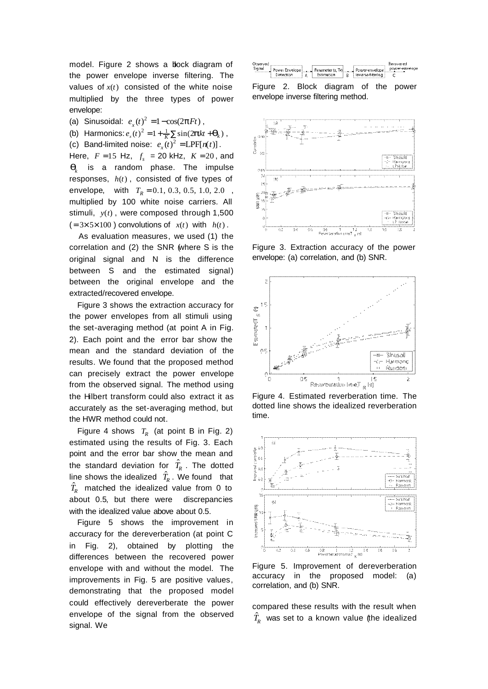model. Figure 2 shows a block diagram of the power envelope inverse filtering. The values of  $x(t)$  consisted of the white noise multiplied by the three types of power envelope:

(a) Sinusoidal:  $e_x(t)^2 = 1 - \cos(2pFt)$ ,

(b) Harmonics:  $e_x(t)^2 = 1 + \frac{1}{K} \sum_{k=1}^{K} \sin(2\mathbf{p}kt + \mathbf{q}_k)$ ,

(c) Band-limited noise:  $e_x(t)^2 = LPF[n(t)]$ .

Here,  $F = 15$  Hz,  $f_s = 20$  kHz,  $K = 20$ , and  $\boldsymbol{q}_k$  is a random phase. The impulse responses,  $h(t)$ , consisted of five types of envelope, with  $T_R = 0.1, 0.3, 0.5, 1.0, 2.0$ , multiplied by 100 white noise carriers. All stimuli,  $y(t)$ , were composed through 1,500  $(=3\times 5\times 100)$  convolutions of  $x(t)$  with  $h(t)$ .

As evaluation measures, we used (1) the correlation and (2) the SNR (where S is the original signal and N is the difference between S and the estimated signal) between the original envelope and the extracted/recovered envelope.

Figure 3 shows the extraction accuracy for the power envelopes from all stimuli using the set-averaging method (at point A in Fig. 2). Each point and the error bar show the mean and the standard deviation of the results. We found that the proposed method can precisely extract the power envelope from the observed signal. The method using the Hilbert transform could also extract it as accurately as the set-averaging method, but the HWR method could not.

Figure 4 shows  $T_R$  (at point B in Fig. 2) estimated using the results of Fig. 3. Each point and the error bar show the mean and the standard deviation for  $\hat{T}_R$  . The dotted line shows the idealized  $\hat{T}_R$ . We found that  $\hat{T}_R$  matched the idealized value from 0 to about 0.5, but there were discrepancies with the idealized value above about 0.5.

Figure 5 shows the improvement in accuracy for the dereverberation (at point C in Fig. 2), obtained by plotting the differences between the recovered power envelope with and without the model. The improvements in Fig. 5 are positive values, demonstrating that the proposed model could effectively dereverberate the power envelope of the signal from the observed signal. We



Figure 2. Block diagram of the power envelope inverse filtering method.



Figure 3. Extraction accuracy of the power envelope: (a) correlation, and (b) SNR.



Figure 4. Estimated reverberation time. The dotted line shows the idealized reverberation time.



Figure 5. Improvement of dereverberation accuracy in the proposed model: (a) correlation, and (b) SNR.

compared these results with the result when  $\hat{T}_{\!R}$  was set to a known value (the idealized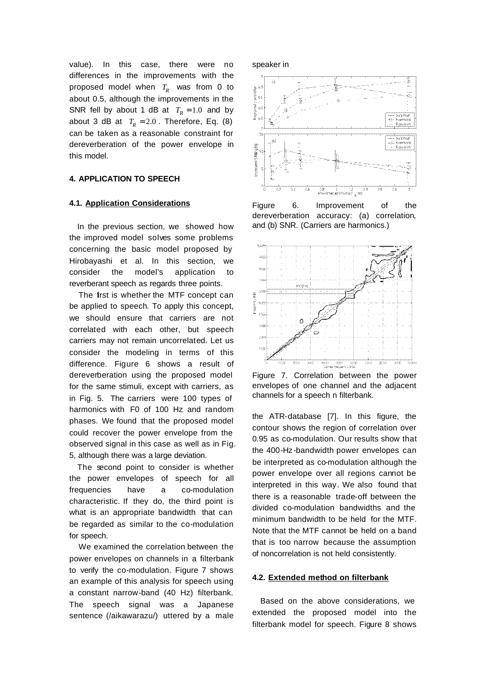value). In this case, there were no differences in the improvements with the proposed model when  $T_R^{}$  was from 0 to about 0.5, although the improvements in the SNR fell by about 1 dB at  $T_R = 1.0$  and by about 3 dB at  $T_R = 2.0$ . Therefore, Eq. (8) can be taken as a reasonable constraint for dereverberation of the power envelope in this model.

# **4. APPLICATION TO SPEECH**

#### **4.1. Application Considerations**

In the previous section, we showed how the improved model solves some problems concerning the basic model proposed by Hirobayashi et al. In this section, we consider the model's application to reverberant speech as regards three points.

The first is whether the MTF concept can be applied to speech. To apply this concept, we should ensure that carriers are not correlated with each other, but speech carriers may not remain uncorrelated. Let us consider the modeling in terms of this difference. Figure 6 shows a result of dereverberation using the proposed model for the same stimuli, except with carriers, as in Fig. 5. The carriers were 100 types of harmonics with F0 of 100 Hz and random phases. We found that the proposed model could recover the power envelope from the observed signal in this case as well as in Fig. 5, although there was a large deviation.

The second point to consider is whether the power envelopes of speech for all frequencies have a co-modulation characteristic. If they do, the third point is what is an appropriate bandwidth that can be regarded as similar to the co-modulation for speech.

We examined the correlation between the power envelopes on channels in a filterbank to verify the co-modulation. Figure 7 shows an example of this analysis for speech using a constant narrow-band (40 Hz) filterbank. The speech signal was a Japanese sentence (/aikawarazu/) uttered by a male





Figure 6. Improvement of the dereverberation accuracy: (a) correlation, and (b) SNR. (Carriers are harmonics.)



Figure 7. Correlation between the power envelopes of one channel and the adjacent channels for a speech n filterbank.

the ATR-database [7]. In this figure, the contour shows the region of correlation over 0.95 as co-modulation. Our results show that the 400-Hz-bandwidth power envelopes can be interpreted as co-modulation although the power envelope over all regions cannot be interpreted in this way. We also found that there is a reasonable trade-off between the divided co-modulation bandwidths and the minimum bandwidth to be held for the MTF. Note that the MTF cannot be held on a band that is too narrow because the assumption of noncorrelation is not held consistently.

## **4.2. Extended method on filterbank**

Based on the above considerations, we extended the proposed model into the filterbank model for speech. Figure 8 shows